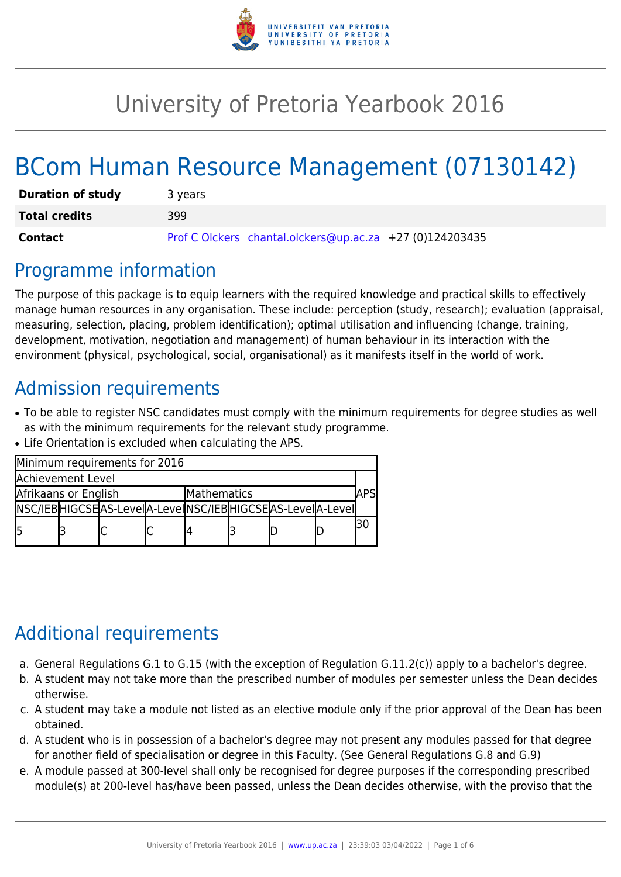

# University of Pretoria Yearbook 2016

# BCom Human Resource Management (07130142)

| <b>Duration of study</b> | 3 years                                                  |  |  |  |  |  |
|--------------------------|----------------------------------------------------------|--|--|--|--|--|
| <b>Total credits</b>     | 399                                                      |  |  |  |  |  |
| Contact                  | Prof C Olckers chantal.olckers@up.ac.za +27 (0)124203435 |  |  |  |  |  |

### Programme information

The purpose of this package is to equip learners with the required knowledge and practical skills to effectively manage human resources in any organisation. These include: perception (study, research); evaluation (appraisal, measuring, selection, placing, problem identification); optimal utilisation and influencing (change, training, development, motivation, negotiation and management) of human behaviour in its interaction with the environment (physical, psychological, social, organisational) as it manifests itself in the world of work.

# Admission requirements

- To be able to register NSC candidates must comply with the minimum requirements for degree studies as well as with the minimum requirements for the relevant study programme.
- Life Orientation is excluded when calculating the APS.

| Minimum requirements for 2016       |  |                                                                 |  |  |  |  |             |    |  |  |
|-------------------------------------|--|-----------------------------------------------------------------|--|--|--|--|-------------|----|--|--|
| <b>Achievement Level</b>            |  |                                                                 |  |  |  |  |             |    |  |  |
| Afrikaans or English<br>Mathematics |  |                                                                 |  |  |  |  | <b>\PSI</b> |    |  |  |
|                                     |  | NSC/IEB HIGCSE AS-Level A-Level NSC/IEB HIGCSE AS-Level A-Level |  |  |  |  |             |    |  |  |
| l5                                  |  |                                                                 |  |  |  |  |             | 30 |  |  |

# Additional requirements

- a. General Regulations G.1 to G.15 (with the exception of Regulation G.11.2(c)) apply to a bachelor's degree.
- b. A student may not take more than the prescribed number of modules per semester unless the Dean decides otherwise.
- c. A student may take a module not listed as an elective module only if the prior approval of the Dean has been obtained.
- d. A student who is in possession of a bachelor's degree may not present any modules passed for that degree for another field of specialisation or degree in this Faculty. (See General Regulations G.8 and G.9)
- e. A module passed at 300-level shall only be recognised for degree purposes if the corresponding prescribed module(s) at 200-level has/have been passed, unless the Dean decides otherwise, with the proviso that the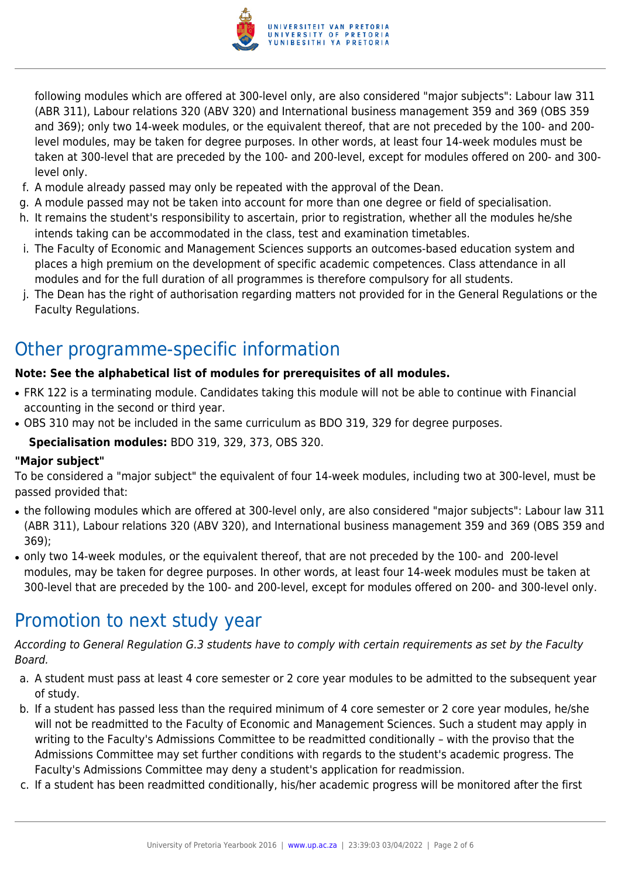

following modules which are offered at 300-level only, are also considered "major subjects": Labour law 311 (ABR 311), Labour relations 320 (ABV 320) and International business management 359 and 369 (OBS 359 and 369); only two 14-week modules, or the equivalent thereof, that are not preceded by the 100- and 200 level modules, may be taken for degree purposes. In other words, at least four 14-week modules must be taken at 300-level that are preceded by the 100- and 200-level, except for modules offered on 200- and 300 level only.

- f. A module already passed may only be repeated with the approval of the Dean.
- g. A module passed may not be taken into account for more than one degree or field of specialisation.
- h. It remains the student's responsibility to ascertain, prior to registration, whether all the modules he/she intends taking can be accommodated in the class, test and examination timetables.
- i. The Faculty of Economic and Management Sciences supports an outcomes-based education system and places a high premium on the development of specific academic competences. Class attendance in all modules and for the full duration of all programmes is therefore compulsory for all students.
- j. The Dean has the right of authorisation regarding matters not provided for in the General Regulations or the Faculty Regulations.

# Other programme-specific information

#### **Note: See the alphabetical list of modules for prerequisites of all modules.**

- FRK 122 is a terminating module. Candidates taking this module will not be able to continue with Financial accounting in the second or third year.
- OBS 310 may not be included in the same curriculum as BDO 319, 329 for degree purposes.

**Specialisation modules:** BDO 319, 329, 373, OBS 320.

#### **"Major subject"**

To be considered a "major subject" the equivalent of four 14-week modules, including two at 300-level, must be passed provided that:

- the following modules which are offered at 300-level only, are also considered "major subjects": Labour law 311 (ABR 311), Labour relations 320 (ABV 320), and International business management 359 and 369 (OBS 359 and 369);
- only two 14-week modules, or the equivalent thereof, that are not preceded by the 100- and 200-level modules, may be taken for degree purposes. In other words, at least four 14-week modules must be taken at 300-level that are preceded by the 100- and 200-level, except for modules offered on 200- and 300-level only.

### Promotion to next study year

According to General Regulation G.3 students have to comply with certain requirements as set by the Faculty Board.

- a. A student must pass at least 4 core semester or 2 core year modules to be admitted to the subsequent year of study.
- b. If a student has passed less than the required minimum of 4 core semester or 2 core year modules, he/she will not be readmitted to the Faculty of Economic and Management Sciences. Such a student may apply in writing to the Faculty's Admissions Committee to be readmitted conditionally – with the proviso that the Admissions Committee may set further conditions with regards to the student's academic progress. The Faculty's Admissions Committee may deny a student's application for readmission.
- c. If a student has been readmitted conditionally, his/her academic progress will be monitored after the first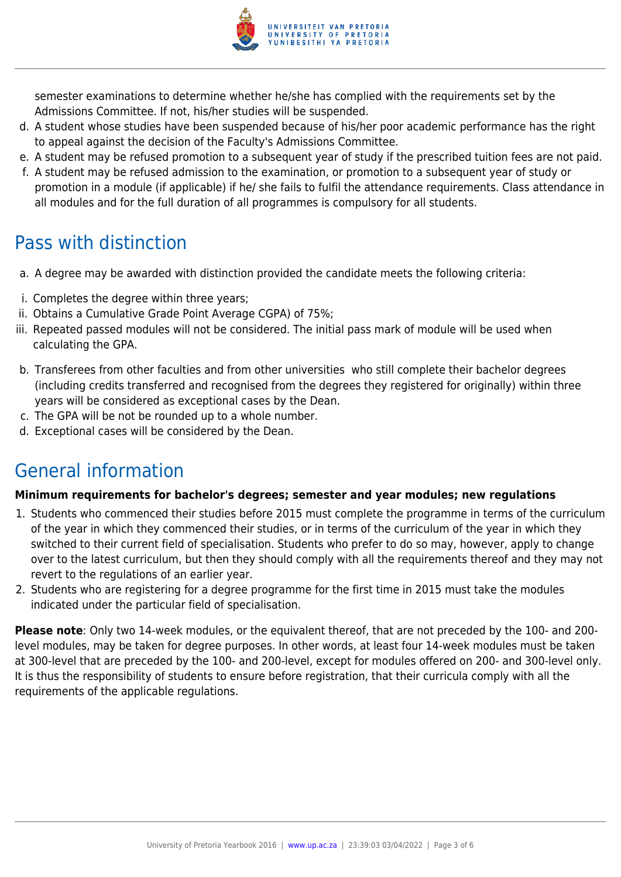

semester examinations to determine whether he/she has complied with the requirements set by the Admissions Committee. If not, his/her studies will be suspended.

- d. A student whose studies have been suspended because of his/her poor academic performance has the right to appeal against the decision of the Faculty's Admissions Committee.
- e. A student may be refused promotion to a subsequent year of study if the prescribed tuition fees are not paid.
- f. A student may be refused admission to the examination, or promotion to a subsequent year of study or promotion in a module (if applicable) if he/ she fails to fulfil the attendance requirements. Class attendance in all modules and for the full duration of all programmes is compulsory for all students.

## Pass with distinction

- a. A degree may be awarded with distinction provided the candidate meets the following criteria:
- i. Completes the degree within three years;
- ii. Obtains a Cumulative Grade Point Average CGPA) of 75%;
- iii. Repeated passed modules will not be considered. The initial pass mark of module will be used when calculating the GPA.
- b. Transferees from other faculties and from other universities who still complete their bachelor degrees (including credits transferred and recognised from the degrees they registered for originally) within three years will be considered as exceptional cases by the Dean.
- c. The GPA will be not be rounded up to a whole number.
- d. Exceptional cases will be considered by the Dean.

# General information

#### **Minimum requirements for bachelor's degrees; semester and year modules; new regulations**

- 1. Students who commenced their studies before 2015 must complete the programme in terms of the curriculum of the year in which they commenced their studies, or in terms of the curriculum of the year in which they switched to their current field of specialisation. Students who prefer to do so may, however, apply to change over to the latest curriculum, but then they should comply with all the requirements thereof and they may not revert to the regulations of an earlier year.
- 2. Students who are registering for a degree programme for the first time in 2015 must take the modules indicated under the particular field of specialisation.

**Please note**: Only two 14-week modules, or the equivalent thereof, that are not preceded by the 100- and 200 level modules, may be taken for degree purposes. In other words, at least four 14-week modules must be taken at 300-level that are preceded by the 100- and 200-level, except for modules offered on 200- and 300-level only. It is thus the responsibility of students to ensure before registration, that their curricula comply with all the requirements of the applicable regulations.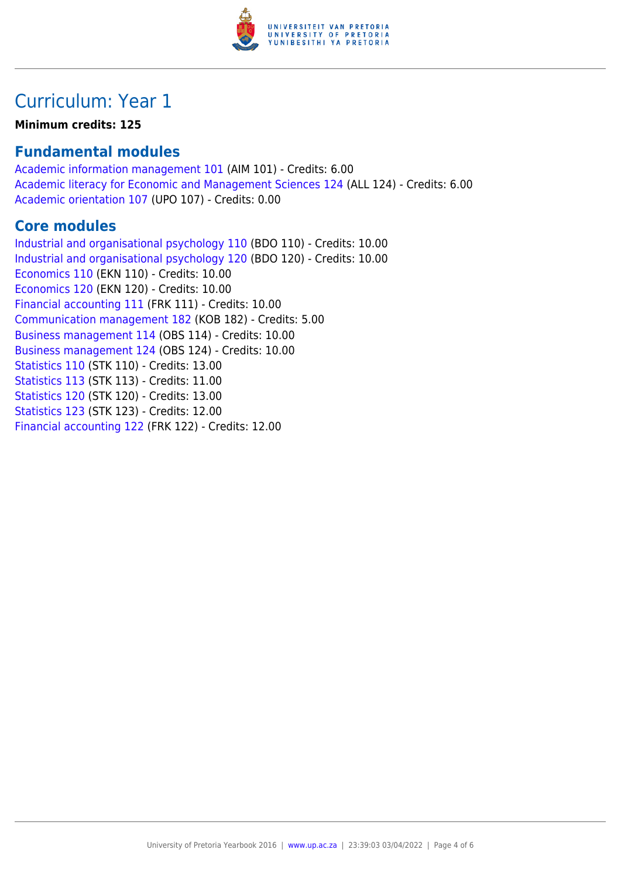

### Curriculum: Year 1

#### **Minimum credits: 125**

#### **Fundamental modules**

[Academic information management 101](https://www.up.ac.za/faculty-of-education/yearbooks/2016/modules/view/AIM 101) (AIM 101) - Credits: 6.00 [Academic literacy for Economic and Management Sciences 124](https://www.up.ac.za/faculty-of-education/yearbooks/2016/modules/view/ALL 124) (ALL 124) - Credits: 6.00 [Academic orientation 107](https://www.up.ac.za/faculty-of-education/yearbooks/2016/modules/view/UPO 107) (UPO 107) - Credits: 0.00

#### **Core modules**

[Industrial and organisational psychology 110](https://www.up.ac.za/faculty-of-education/yearbooks/2016/modules/view/BDO 110) (BDO 110) - Credits: 10.00 [Industrial and organisational psychology 120](https://www.up.ac.za/faculty-of-education/yearbooks/2016/modules/view/BDO 120) (BDO 120) - Credits: 10.00 [Economics 110](https://www.up.ac.za/faculty-of-education/yearbooks/2016/modules/view/EKN 110) (EKN 110) - Credits: 10.00 [Economics 120](https://www.up.ac.za/faculty-of-education/yearbooks/2016/modules/view/EKN 120) (EKN 120) - Credits: 10.00 [Financial accounting 111](https://www.up.ac.za/faculty-of-education/yearbooks/2016/modules/view/FRK 111) (FRK 111) - Credits: 10.00 [Communication management 182](https://www.up.ac.za/faculty-of-education/yearbooks/2016/modules/view/KOB 182) (KOB 182) - Credits: 5.00 [Business management 114](https://www.up.ac.za/faculty-of-education/yearbooks/2016/modules/view/OBS 114) (OBS 114) - Credits: 10.00 [Business management 124](https://www.up.ac.za/faculty-of-education/yearbooks/2016/modules/view/OBS 124) (OBS 124) - Credits: 10.00 [Statistics 110](https://www.up.ac.za/faculty-of-education/yearbooks/2016/modules/view/STK 110) (STK 110) - Credits: 13.00 [Statistics 113](https://www.up.ac.za/faculty-of-education/yearbooks/2016/modules/view/STK 113) (STK 113) - Credits: 11.00 [Statistics 120](https://www.up.ac.za/faculty-of-education/yearbooks/2016/modules/view/STK 120) (STK 120) - Credits: 13.00 [Statistics 123](https://www.up.ac.za/faculty-of-education/yearbooks/2016/modules/view/STK 123) (STK 123) - Credits: 12.00 [Financial accounting 122](https://www.up.ac.za/faculty-of-education/yearbooks/2016/modules/view/FRK 122) (FRK 122) - Credits: 12.00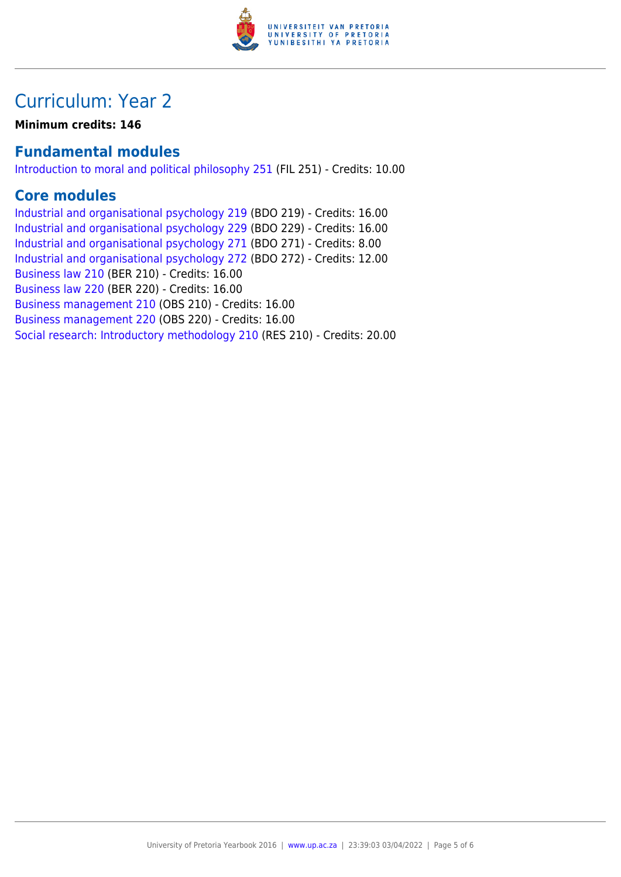

### Curriculum: Year 2

**Minimum credits: 146**

#### **Fundamental modules**

[Introduction to moral and political philosophy 251](https://www.up.ac.za/faculty-of-education/yearbooks/2016/modules/view/FIL 251) (FIL 251) - Credits: 10.00

#### **Core modules**

[Industrial and organisational psychology 219](https://www.up.ac.za/faculty-of-education/yearbooks/2016/modules/view/BDO 219) (BDO 219) - Credits: 16.00 [Industrial and organisational psychology 229](https://www.up.ac.za/faculty-of-education/yearbooks/2016/modules/view/BDO 229) (BDO 229) - Credits: 16.00 [Industrial and organisational psychology 271](https://www.up.ac.za/faculty-of-education/yearbooks/2016/modules/view/BDO 271) (BDO 271) - Credits: 8.00 [Industrial and organisational psychology 272](https://www.up.ac.za/faculty-of-education/yearbooks/2016/modules/view/BDO 272) (BDO 272) - Credits: 12.00 [Business law 210](https://www.up.ac.za/faculty-of-education/yearbooks/2016/modules/view/BER 210) (BER 210) - Credits: 16.00 [Business law 220](https://www.up.ac.za/faculty-of-education/yearbooks/2016/modules/view/BER 220) (BER 220) - Credits: 16.00 [Business management 210](https://www.up.ac.za/faculty-of-education/yearbooks/2016/modules/view/OBS 210) (OBS 210) - Credits: 16.00 [Business management 220](https://www.up.ac.za/faculty-of-education/yearbooks/2016/modules/view/OBS 220) (OBS 220) - Credits: 16.00 [Social research: Introductory methodology 210](https://www.up.ac.za/faculty-of-education/yearbooks/2016/modules/view/RES 210) (RES 210) - Credits: 20.00